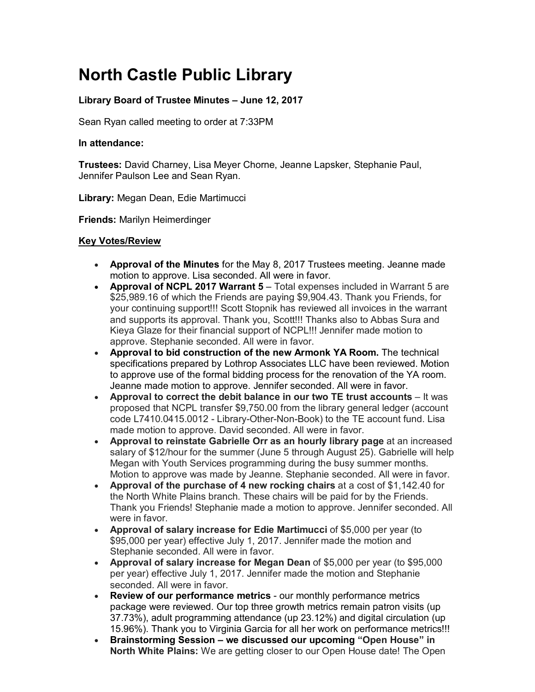## **North Castle Public Library**

## **Library Board of Trustee Minutes – June 12, 2017**

Sean Ryan called meeting to order at 7:33PM

## **In attendance:**

**Trustees:** David Charney, Lisa Meyer Chorne, Jeanne Lapsker, Stephanie Paul, Jennifer Paulson Lee and Sean Ryan.

**Library:** Megan Dean, Edie Martimucci

**Friends:** Marilyn Heimerdinger

## **Key Votes/Review**

- **Approval of the Minutes** for the May 8, 2017 Trustees meeting. Jeanne made motion to approve. Lisa seconded. All were in favor.
- **Approval of NCPL 2017 Warrant 5** Total expenses included in Warrant 5 are \$25,989.16 of which the Friends are paying \$9,904.43. Thank you Friends, for your continuing support!!! Scott Stopnik has reviewed all invoices in the warrant and supports its approval. Thank you, Scott!!! Thanks also to Abbas Sura and Kieya Glaze for their financial support of NCPL!!! Jennifer made motion to approve. Stephanie seconded. All were in favor.
- **Approval to bid construction of the new Armonk YA Room.** The technical specifications prepared by Lothrop Associates LLC have been reviewed. Motion to approve use of the formal bidding process for the renovation of the YA room. Jeanne made motion to approve. Jennifer seconded. All were in favor.
- **Approval to correct the debit balance in our two TE trust accounts** It was proposed that NCPL transfer \$9,750.00 from the library general ledger (account code L7410.0415.0012 - Library-Other-Non-Book) to the TE account fund. Lisa made motion to approve. David seconded. All were in favor.
- **Approval to reinstate Gabrielle Orr as an hourly library page** at an increased salary of \$12/hour for the summer (June 5 through August 25). Gabrielle will help Megan with Youth Services programming during the busy summer months. Motion to approve was made by Jeanne. Stephanie seconded. All were in favor.
- **Approval of the purchase of 4 new rocking chairs** at a cost of \$1,142.40 for the North White Plains branch. These chairs will be paid for by the Friends. Thank you Friends! Stephanie made a motion to approve. Jennifer seconded. All were in favor.
- **Approval of salary increase for Edie Martimucci** of \$5,000 per year (to \$95,000 per year) effective July 1, 2017. Jennifer made the motion and Stephanie seconded. All were in favor.
- **Approval of salary increase for Megan Dean** of \$5,000 per year (to \$95,000 per year) effective July 1, 2017. Jennifer made the motion and Stephanie seconded. All were in favor.
- **Review of our performance metrics** our monthly performance metrics package were reviewed. Our top three growth metrics remain patron visits (up 37.73%), adult programming attendance (up 23.12%) and digital circulation (up 15.96%). Thank you to Virginia Garcia for all her work on performance metrics!!!
- **Brainstorming Session – we discussed our upcoming "Open House" in North White Plains:** We are getting closer to our Open House date! The Open